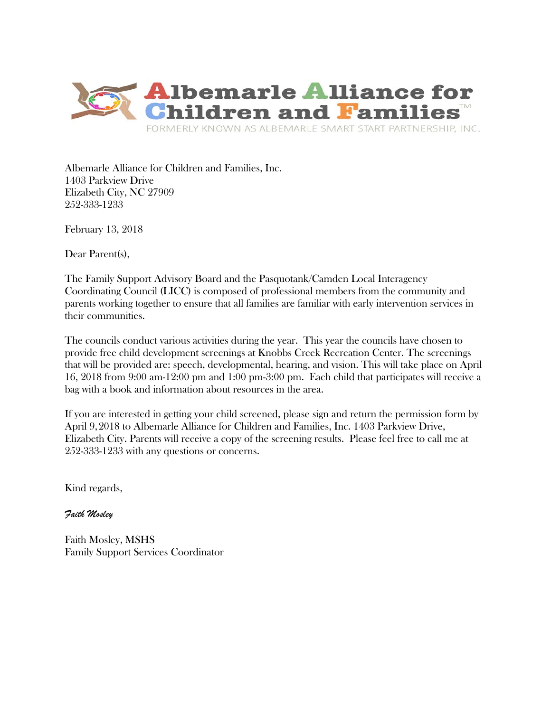

Albemarle Alliance for Children and Families, Inc. 1403 Parkview Drive Elizabeth City, NC 27909 252-333-1233

February 13, 2018

Dear Parent(s).

The Family Support Advisory Board and the Pasquotank/Camden Local Interagency Coordinating Council (LICC) is composed of professional members from the community and parents working together to ensure that all families are familiar with early intervention services in their communities.

The councils conduct various activities during the year. This year the councils have chosen to provide free child development screenings at Knobbs Creek Recreation Center. The screenings that will be provided are: speech, developmental, hearing, and vision. This will take place on April 16, 2018 from 9:00 am-12:00 pm and 1:00 pm-3:00 pm. Each child that participates will receive a bag with a book and information about resources in the area.

If you are interested in getting your child screened, please sign and return the permission form by April 9,2018 to Albemarle Alliance for Children and Families, Inc. 1403 Parkview Drive, Elizabeth City. Parents will receive a copy of the screening results. Please feel free to call me at 252-333-1233 with any questions or concerns.

Kind regards,

*Faith Mosley*

Faith Mosley, MSHS Family Support Services Coordinator